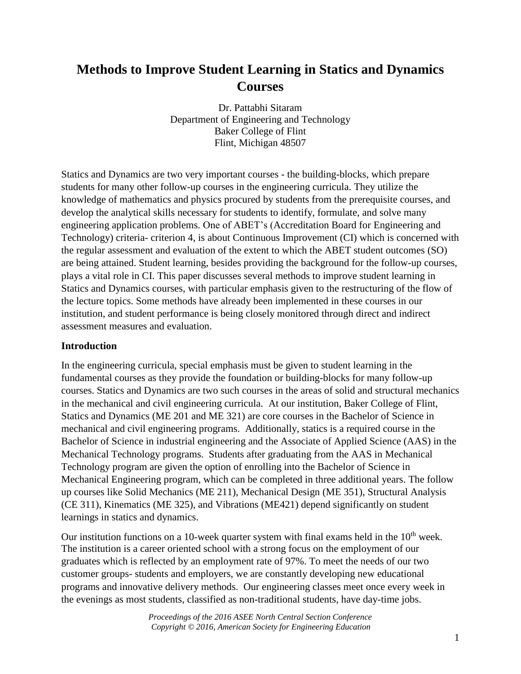# **Methods to Improve Student Learning in Statics and Dynamics Courses**

Dr. Pattabhi Sitaram Department of Engineering and Technology Baker College of Flint Flint, Michigan 48507

Statics and Dynamics are two very important courses - the building-blocks, which prepare students for many other follow-up courses in the engineering curricula. They utilize the knowledge of mathematics and physics procured by students from the prerequisite courses, and develop the analytical skills necessary for students to identify, formulate, and solve many engineering application problems. One of ABET's (Accreditation Board for Engineering and Technology) criteria- criterion 4, is about Continuous Improvement (CI) which is concerned with the regular assessment and evaluation of the extent to which the ABET student outcomes (SO) are being attained. Student learning, besides providing the background for the follow-up courses, plays a vital role in CI. This paper discusses several methods to improve student learning in Statics and Dynamics courses, with particular emphasis given to the restructuring of the flow of the lecture topics. Some methods have already been implemented in these courses in our institution, and student performance is being closely monitored through direct and indirect assessment measures and evaluation.

#### **Introduction**

In the engineering curricula, special emphasis must be given to student learning in the fundamental courses as they provide the foundation or building-blocks for many follow-up courses. Statics and Dynamics are two such courses in the areas of solid and structural mechanics in the mechanical and civil engineering curricula. At our institution, Baker College of Flint, Statics and Dynamics (ME 201 and ME 321) are core courses in the Bachelor of Science in mechanical and civil engineering programs. Additionally, statics is a required course in the Bachelor of Science in industrial engineering and the Associate of Applied Science (AAS) in the [Mechanical Technology](http://www.baker.edu/programs-degrees/mechanical-technology-associate/) programs. Students after graduating from the AAS in [Mechanical](http://www.baker.edu/programs-degrees/mechanical-technology-associate/)  [Technology](http://www.baker.edu/programs-degrees/mechanical-technology-associate/) program are given the option of enrolling into the Bachelor of Science in Mechanical Engineering program, which can be completed in three additional years. The follow up courses like Solid Mechanics (ME 211), Mechanical Design (ME 351), Structural Analysis (CE 311), Kinematics (ME 325), and Vibrations (ME421) depend significantly on student learnings in statics and dynamics.

Our institution functions on a 10-week quarter system with final exams held in the  $10<sup>th</sup>$  week. The institution is a career oriented school with a strong focus on the employment of our graduates which is reflected by an employment rate of 97%. To meet the needs of our two customer groups- students and employers, we are constantly developing new educational programs and innovative delivery methods. Our engineering classes meet once every week in the evenings as most students, classified as non-traditional students, have day-time jobs.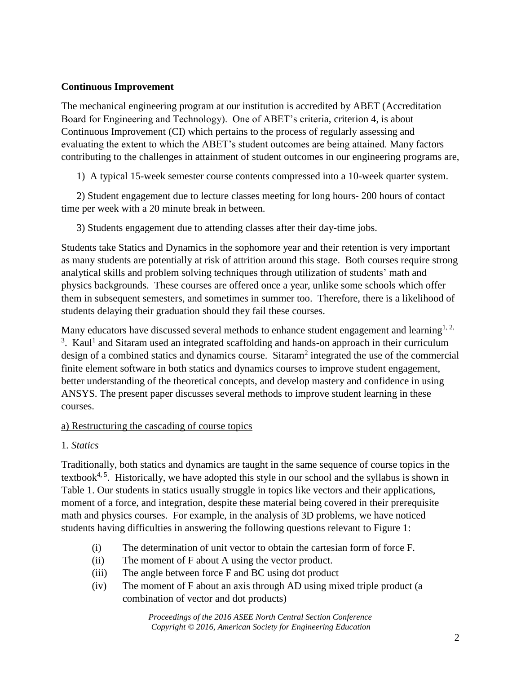## **Continuous Improvement**

The mechanical engineering program at our institution is accredited by ABET (Accreditation Board for Engineering and Technology). One of ABET's criteria, criterion 4, is about Continuous Improvement (CI) which pertains to the process of regularly assessing and evaluating the extent to which the ABET's student outcomes are being attained. Many factors contributing to the challenges in attainment of student outcomes in our engineering programs are,

1) A typical 15-week semester course contents compressed into a 10-week quarter system.

2) Student engagement due to lecture classes meeting for long hours- 200 hours of contact time per week with a 20 minute break in between.

3) Students engagement due to attending classes after their day-time jobs.

Students take Statics and Dynamics in the sophomore year and their retention is very important as many students are potentially at risk of attrition around this stage. Both courses require strong analytical skills and problem solving techniques through utilization of students' math and physics backgrounds. These courses are offered once a year, unlike some schools which offer them in subsequent semesters, and sometimes in summer too. Therefore, there is a likelihood of students delaying their graduation should they fail these courses.

Many educators have discussed several methods to enhance student engagement and learning<sup>1, 2,</sup>  $3$ . Kaul<sup>1</sup> and Sitaram used an integrated scaffolding and hands-on approach in their curriculum design of a combined statics and dynamics course. Sitaram<sup>2</sup> integrated the use of the commercial finite element software in both statics and dynamics courses to improve student engagement, better understanding of the theoretical concepts, and develop mastery and confidence in using ANSYS. The present paper discusses several methods to improve student learning in these courses.

## a) Restructuring the cascading of course topics

# 1*. Statics*

Traditionally, both statics and dynamics are taught in the same sequence of course topics in the textbook<sup>4, 5</sup>. Historically, we have adopted this style in our school and the syllabus is shown in Table 1. Our students in statics usually struggle in topics like vectors and their applications, moment of a force, and integration, despite these material being covered in their prerequisite math and physics courses. For example, in the analysis of 3D problems, we have noticed students having difficulties in answering the following questions relevant to Figure 1:

- (i) The determination of unit vector to obtain the cartesian form of force F.
- (ii) The moment of F about A using the vector product.
- (iii) The angle between force F and BC using dot product
- (iv) The moment of F about an axis through AD using mixed triple product (a combination of vector and dot products)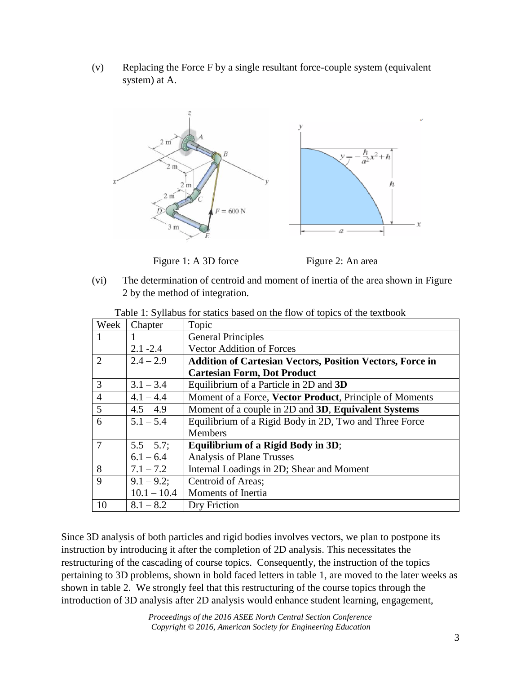(v) Replacing the Force F by a single resultant force-couple system (equivalent system) at A.



Figure 1: A 3D force Figure 2: An area



(vi) The determination of centroid and moment of inertia of the area shown in Figure 2 by the method of integration.

| Week           | Chapter       | Topic                                                            |  |  |
|----------------|---------------|------------------------------------------------------------------|--|--|
|                |               | <b>General Principles</b>                                        |  |  |
|                | $2.1 - 2.4$   | <b>Vector Addition of Forces</b>                                 |  |  |
| $\overline{2}$ | $2.4 - 2.9$   | <b>Addition of Cartesian Vectors, Position Vectors, Force in</b> |  |  |
|                |               | <b>Cartesian Form, Dot Product</b>                               |  |  |
| 3              | $3.1 - 3.4$   | Equilibrium of a Particle in 2D and 3D                           |  |  |
| $\overline{4}$ | $4.1 - 4.4$   | Moment of a Force, Vector Product, Principle of Moments          |  |  |
| 5              | $4.5 - 4.9$   | Moment of a couple in 2D and 3D, Equivalent Systems              |  |  |
| 6              | $5.1 - 5.4$   | Equilibrium of a Rigid Body in 2D, Two and Three Force           |  |  |
|                |               | <b>Members</b>                                                   |  |  |
| $\overline{7}$ | $5.5 - 5.7;$  | Equilibrium of a Rigid Body in 3D;                               |  |  |
|                | $6.1 - 6.4$   | <b>Analysis of Plane Trusses</b>                                 |  |  |
| 8              | $7.1 - 7.2$   | Internal Loadings in 2D; Shear and Moment                        |  |  |
| 9              | $9.1 - 9.2$ ; | Centroid of Areas;                                               |  |  |
|                | $10.1 - 10.4$ | Moments of Inertia                                               |  |  |
| 10             | $8.1 - 8.2$   | Dry Friction                                                     |  |  |

Table 1: Syllabus for statics based on the flow of topics of the textbook

Since 3D analysis of both particles and rigid bodies involves vectors, we plan to postpone its instruction by introducing it after the completion of 2D analysis. This necessitates the restructuring of the cascading of course topics. Consequently, the instruction of the topics pertaining to 3D problems, shown in bold faced letters in table 1, are moved to the later weeks as shown in table 2. We strongly feel that this restructuring of the course topics through the introduction of 3D analysis after 2D analysis would enhance student learning, engagement,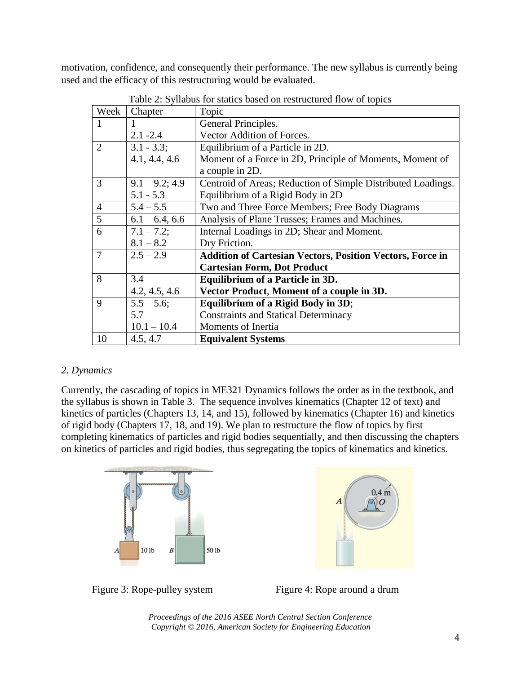motivation, confidence, and consequently their performance. The new syllabus is currently being used and the efficacy of this restructuring would be evaluated.

| Week           | Chapter           | Topic                                                            |  |  |
|----------------|-------------------|------------------------------------------------------------------|--|--|
| 1              | 1                 | General Principles.                                              |  |  |
|                | $2.1 - 2.4$       | Vector Addition of Forces.                                       |  |  |
| $\overline{2}$ | $3.1 - 3.3$ ;     | Equilibrium of a Particle in 2D.                                 |  |  |
|                | 4.1, 4.4, 4.6     | Moment of a Force in 2D, Principle of Moments, Moment of         |  |  |
|                |                   | a couple in 2D.                                                  |  |  |
| 3              | $9.1 - 9.2$ ; 4.9 | Centroid of Areas; Reduction of Simple Distributed Loadings.     |  |  |
|                | $5.1 - 5.3$       | Equilibrium of a Rigid Body in 2D                                |  |  |
| $\overline{4}$ | $5.4 - 5.5$       | Two and Three Force Members; Free Body Diagrams                  |  |  |
| 5              | $6.1 - 6.4, 6.6$  | Analysis of Plane Trusses; Frames and Machines.                  |  |  |
| 6              | $7.1 - 7.2$ ;     | Internal Loadings in 2D; Shear and Moment.                       |  |  |
|                | $8.1 - 8.2$       | Dry Friction.                                                    |  |  |
| $\overline{7}$ | $2.5 - 2.9$       | <b>Addition of Cartesian Vectors, Position Vectors, Force in</b> |  |  |
|                |                   | <b>Cartesian Form, Dot Product</b>                               |  |  |
| 8              | 3.4               | <b>Equilibrium of a Particle in 3D.</b>                          |  |  |
|                | 4.2, 4.5, 4.6     | Vector Product, Moment of a couple in 3D.                        |  |  |
| 9              | $5.5 - 5.6$ ;     | Equilibrium of a Rigid Body in 3D;                               |  |  |
|                | 5.7               | <b>Constraints and Statical Determinacy</b>                      |  |  |
|                | $10.1 - 10.4$     | Moments of Inertia                                               |  |  |
| 10             | 4.5, 4.7          | <b>Equivalent Systems</b>                                        |  |  |

Table 2: Syllabus for statics based on restructured flow of topics

## *2. Dynamics*

Currently, the cascading of topics in ME321 Dynamics follows the order as in the textbook, and the syllabus is shown in Table 3. The sequence involves kinematics (Chapter 12 of text) and kinetics of particles (Chapters 13, 14, and 15), followed by kinematics (Chapter 16) and kinetics of rigid body (Chapters 17, 18, and 19). We plan to restructure the flow of topics by first completing kinematics of particles and rigid bodies sequentially, and then discussing the chapters on kinetics of particles and rigid bodies, thus segregating the topics of kinematics and kinetics.





Figure 3: Rope-pulley system Figure 4: Rope around a drum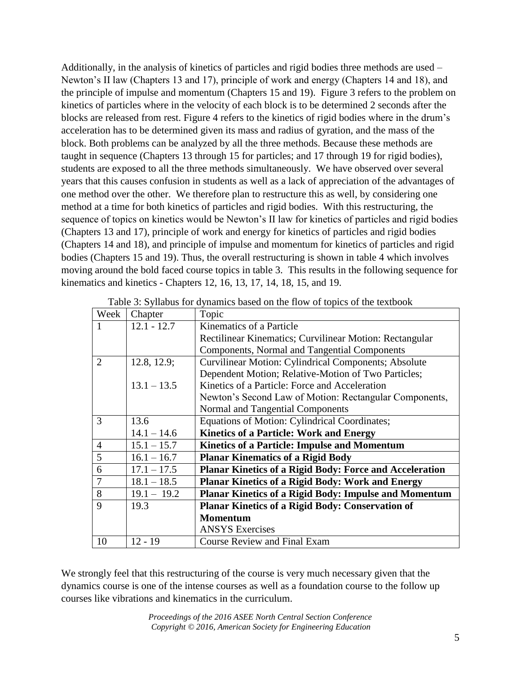Additionally, in the analysis of kinetics of particles and rigid bodies three methods are used – Newton's II law (Chapters 13 and 17), principle of work and energy (Chapters 14 and 18), and the principle of impulse and momentum (Chapters 15 and 19). Figure 3 refers to the problem on kinetics of particles where in the velocity of each block is to be determined 2 seconds after the blocks are released from rest. Figure 4 refers to the kinetics of rigid bodies where in the drum's acceleration has to be determined given its mass and radius of gyration, and the mass of the block. Both problems can be analyzed by all the three methods. Because these methods are taught in sequence (Chapters 13 through 15 for particles; and 17 through 19 for rigid bodies), students are exposed to all the three methods simultaneously. We have observed over several years that this causes confusion in students as well as a lack of appreciation of the advantages of one method over the other. We therefore plan to restructure this as well, by considering one method at a time for both kinetics of particles and rigid bodies. With this restructuring, the sequence of topics on kinetics would be Newton's II law for kinetics of particles and rigid bodies (Chapters 13 and 17), principle of work and energy for kinetics of particles and rigid bodies (Chapters 14 and 18), and principle of impulse and momentum for kinetics of particles and rigid bodies (Chapters 15 and 19). Thus, the overall restructuring is shown in table 4 which involves moving around the bold faced course topics in table 3. This results in the following sequence for kinematics and kinetics - Chapters 12, 16, 13, 17, 14, 18, 15, and 19.

| Week           | Chapter       | Topic                                                       |
|----------------|---------------|-------------------------------------------------------------|
|                | $12.1 - 12.7$ | Kinematics of a Particle                                    |
|                |               | Rectilinear Kinematics; Curvilinear Motion: Rectangular     |
|                |               | Components, Normal and Tangential Components                |
| 2              | 12.8, 12.9;   | <b>Curvilinear Motion: Cylindrical Components; Absolute</b> |
|                |               | Dependent Motion; Relative-Motion of Two Particles;         |
|                | $13.1 - 13.5$ | Kinetics of a Particle: Force and Acceleration              |
|                |               | Newton's Second Law of Motion: Rectangular Components,      |
|                |               | Normal and Tangential Components                            |
| 3              | 13.6          | Equations of Motion: Cylindrical Coordinates;               |
|                | $14.1 - 14.6$ | <b>Kinetics of a Particle: Work and Energy</b>              |
| $\overline{4}$ | $15.1 - 15.7$ | <b>Kinetics of a Particle: Impulse and Momentum</b>         |
| 5              | $16.1 - 16.7$ | <b>Planar Kinematics of a Rigid Body</b>                    |
| 6              | $17.1 - 17.5$ | Planar Kinetics of a Rigid Body: Force and Acceleration     |
| 7              | $18.1 - 18.5$ | Planar Kinetics of a Rigid Body: Work and Energy            |
| 8              | $19.1 - 19.2$ | Planar Kinetics of a Rigid Body: Impulse and Momentum       |
| 9              | 19.3          | Planar Kinetics of a Rigid Body: Conservation of            |
|                |               | <b>Momentum</b>                                             |
|                |               | <b>ANSYS Exercises</b>                                      |
| 10             | $12 - 19$     | <b>Course Review and Final Exam</b>                         |

|  |  |  | Table 3: Syllabus for dynamics based on the flow of topics of the textbook |
|--|--|--|----------------------------------------------------------------------------|
|  |  |  |                                                                            |

We strongly feel that this restructuring of the course is very much necessary given that the dynamics course is one of the intense courses as well as a foundation course to the follow up courses like vibrations and kinematics in the curriculum.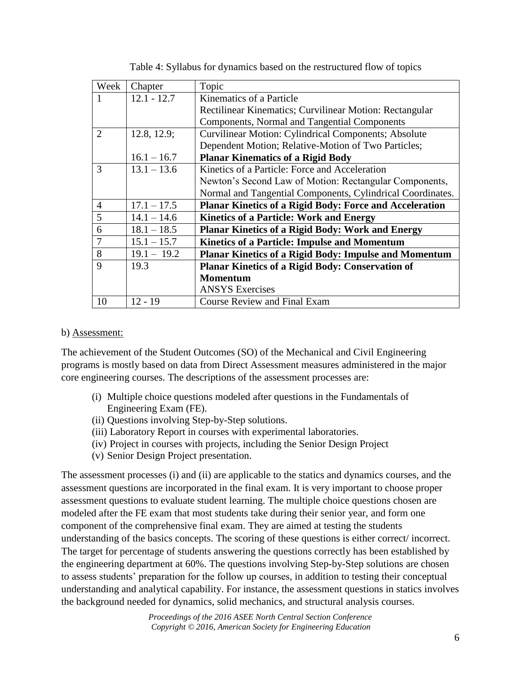| Week           | Chapter       | Topic                                                          |
|----------------|---------------|----------------------------------------------------------------|
|                | $12.1 - 12.7$ | Kinematics of a Particle                                       |
|                |               | Rectilinear Kinematics; Curvilinear Motion: Rectangular        |
|                |               | Components, Normal and Tangential Components                   |
| 2              | 12.8, 12.9;   | <b>Curvilinear Motion: Cylindrical Components; Absolute</b>    |
|                |               | Dependent Motion; Relative-Motion of Two Particles;            |
|                | $16.1 - 16.7$ | <b>Planar Kinematics of a Rigid Body</b>                       |
| 3              | $13.1 - 13.6$ | Kinetics of a Particle: Force and Acceleration                 |
|                |               | Newton's Second Law of Motion: Rectangular Components,         |
|                |               | Normal and Tangential Components, Cylindrical Coordinates.     |
| $\overline{4}$ | $17.1 - 17.5$ | <b>Planar Kinetics of a Rigid Body: Force and Acceleration</b> |
| 5              | $14.1 - 14.6$ | <b>Kinetics of a Particle: Work and Energy</b>                 |
| 6              | $18.1 - 18.5$ | <b>Planar Kinetics of a Rigid Body: Work and Energy</b>        |
|                | $15.1 - 15.7$ | Kinetics of a Particle: Impulse and Momentum                   |
| 8              | $19.1 - 19.2$ | <b>Planar Kinetics of a Rigid Body: Impulse and Momentum</b>   |
| 9              | 19.3          | Planar Kinetics of a Rigid Body: Conservation of               |
|                |               | <b>Momentum</b>                                                |
|                |               | <b>ANSYS Exercises</b>                                         |
| 10             | $12 - 19$     | <b>Course Review and Final Exam</b>                            |

Table 4: Syllabus for dynamics based on the restructured flow of topics

#### b) Assessment:

The achievement of the Student Outcomes (SO) of the Mechanical and Civil Engineering programs is mostly based on data from Direct Assessment measures administered in the major core engineering courses. The descriptions of the assessment processes are:

- (i) Multiple choice questions modeled after questions in the Fundamentals of Engineering Exam (FE).
- (ii) Questions involving Step-by-Step solutions.
- (iii) Laboratory Report in courses with experimental laboratories.
- (iv) Project in courses with projects, including the Senior Design Project
- (v) Senior Design Project presentation.

The assessment processes (i) and (ii) are applicable to the statics and dynamics courses, and the assessment questions are incorporated in the final exam. It is very important to choose proper assessment questions to evaluate student learning. The multiple choice questions chosen are modeled after the FE exam that most students take during their senior year, and form one component of the comprehensive final exam. They are aimed at testing the students understanding of the basics concepts. The scoring of these questions is either correct/ incorrect. The target for percentage of students answering the questions correctly has been established by the engineering department at 60%. The questions involving Step-by-Step solutions are chosen to assess students' preparation for the follow up courses, in addition to testing their conceptual understanding and analytical capability. For instance, the assessment questions in statics involves the background needed for dynamics, solid mechanics, and structural analysis courses.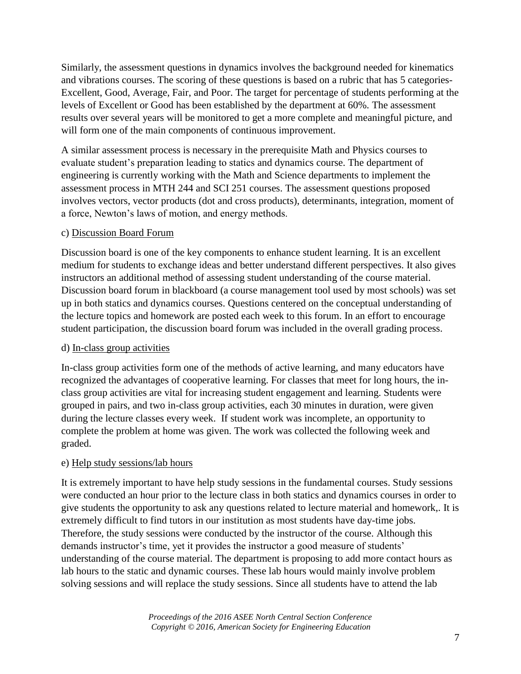Similarly, the assessment questions in dynamics involves the background needed for kinematics and vibrations courses. The scoring of these questions is based on a rubric that has 5 categories-Excellent, Good, Average, Fair, and Poor. The target for percentage of students performing at the levels of Excellent or Good has been established by the department at 60%. The assessment results over several years will be monitored to get a more complete and meaningful picture, and will form one of the main components of continuous improvement.

A similar assessment process is necessary in the prerequisite Math and Physics courses to evaluate student's preparation leading to statics and dynamics course. The department of engineering is currently working with the Math and Science departments to implement the assessment process in MTH 244 and SCI 251 courses. The assessment questions proposed involves vectors, vector products (dot and cross products), determinants, integration, moment of a force, Newton's laws of motion, and energy methods.

## c) Discussion Board Forum

Discussion board is one of the key components to enhance student learning. It is an excellent medium for students to exchange ideas and better understand different perspectives. It also gives instructors an additional method of assessing student understanding of the course material. Discussion board forum in blackboard (a course management tool used by most schools) was set up in both statics and dynamics courses. Questions centered on the conceptual understanding of the lecture topics and homework are posted each week to this forum. In an effort to encourage student participation, the discussion board forum was included in the overall grading process.

## d) In-class group activities

In-class group activities form one of the methods of active learning, and many educators have recognized the advantages of cooperative learning. For classes that meet for long hours, the inclass group activities are vital for increasing student engagement and learning. Students were grouped in pairs, and two in-class group activities, each 30 minutes in duration, were given during the lecture classes every week. If student work was incomplete, an opportunity to complete the problem at home was given. The work was collected the following week and graded.

## e) Help study sessions/lab hours

It is extremely important to have help study sessions in the fundamental courses. Study sessions were conducted an hour prior to the lecture class in both statics and dynamics courses in order to give students the opportunity to ask any questions related to lecture material and homework,. It is extremely difficult to find tutors in our institution as most students have day-time jobs. Therefore, the study sessions were conducted by the instructor of the course. Although this demands instructor's time, yet it provides the instructor a good measure of students' understanding of the course material. The department is proposing to add more contact hours as lab hours to the static and dynamic courses. These lab hours would mainly involve problem solving sessions and will replace the study sessions. Since all students have to attend the lab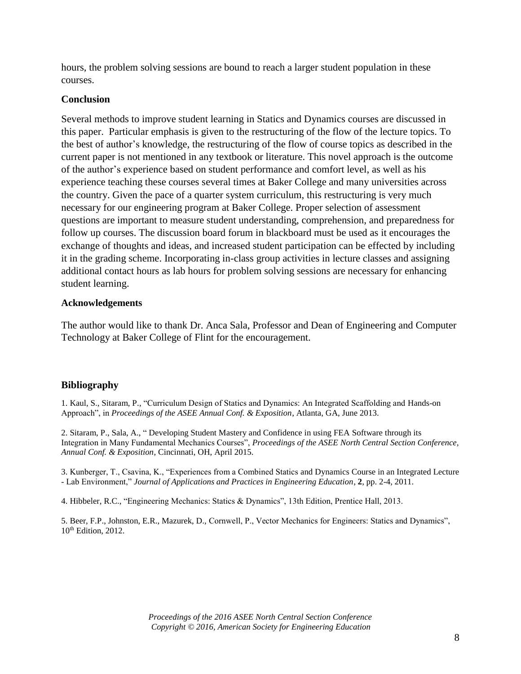hours, the problem solving sessions are bound to reach a larger student population in these courses.

#### **Conclusion**

Several methods to improve student learning in Statics and Dynamics courses are discussed in this paper. Particular emphasis is given to the restructuring of the flow of the lecture topics. To the best of author's knowledge, the restructuring of the flow of course topics as described in the current paper is not mentioned in any textbook or literature. This novel approach is the outcome of the author's experience based on student performance and comfort level, as well as his experience teaching these courses several times at Baker College and many universities across the country. Given the pace of a quarter system curriculum, this restructuring is very much necessary for our engineering program at Baker College. Proper selection of assessment questions are important to measure student understanding, comprehension, and preparedness for follow up courses. The discussion board forum in blackboard must be used as it encourages the exchange of thoughts and ideas, and increased student participation can be effected by including it in the grading scheme. Incorporating in-class group activities in lecture classes and assigning additional contact hours as lab hours for problem solving sessions are necessary for enhancing student learning.

#### **Acknowledgements**

The author would like to thank Dr. Anca Sala, Professor and Dean of Engineering and Computer Technology at Baker College of Flint for the encouragement.

## **Bibliography**

1. Kaul, S., Sitaram, P., "Curriculum Design of Statics and Dynamics: An Integrated Scaffolding and Hands-on Approach", in *Proceedings of the ASEE Annual Conf. & Exposition*, Atlanta, GA, June 2013.

2. Sitaram, P., Sala, A., " Developing Student Mastery and Confidence in using FEA Software through its Integration in Many Fundamental Mechanics Courses", *Proceedings of the ASEE North Central Section Conference, Annual Conf. & Exposition*, Cincinnati, OH, April 2015.

3. Kunberger, T., Csavina, K., "Experiences from a Combined Statics and Dynamics Course in an Integrated Lecture - Lab Environment," *Journal of Applications and Practices in Engineering Education*, **2**, pp. 2-4, 2011.

4. Hibbeler, R.C., "Engineering Mechanics: Statics & Dynamics", 13th Edition, Prentice Hall, 2013.

5. Beer, F.P., Johnston, E.R., Mazurek, D., Cornwell, P., Vector Mechanics for Engineers: Statics and Dynamics", 10<sup>th</sup> Edition, 2012.